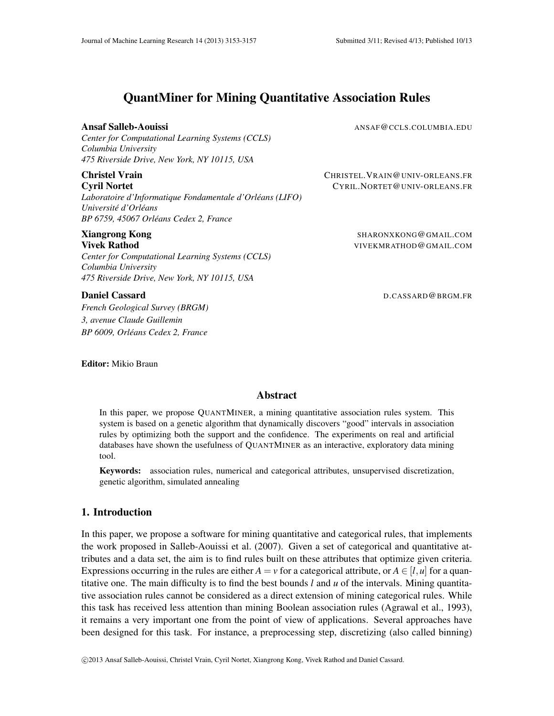# QuantMiner for Mining Quantitative Association Rules

*Center for Computational Learning Systems (CCLS) Columbia University 475 Riverside Drive, New York, NY 10115, USA*

*Laboratoire d'Informatique Fondamentale d'Orleans (LIFO) ´*

*<u><i>Université d'Orléans</u>*</u> *BP 6759, 45067 Orleans Cedex 2, France ´*

Vivek Rathod **Vivek Rathod** VIVEKMRATHOD@GMAIL.COM *Center for Computational Learning Systems (CCLS) Columbia University 475 Riverside Drive, New York, NY 10115, USA*

*French Geological Survey (BRGM) 3, avenue Claude Guillemin BP 6009, Orleans Cedex 2, France ´*

Editor: Mikio Braun

# Abstract

In this paper, we propose QUANTMINER, a mining quantitative association rules system. This system is based on a genetic algorithm that dynamically discovers "good" intervals in association rules by optimizing both the support and the confidence. The experiments on real and artificial databases have shown the usefulness of QUANTMINER as an interactive, exploratory data mining tool.

Keywords: association rules, numerical and categorical attributes, unsupervised discretization, genetic algorithm, simulated annealing

# 1. Introduction

In this paper, we propose a software for mining quantitative and categorical rules, that implements the work proposed in Salleb-Aouissi et al. (2007). Given a set of categorical and quantitative attributes and a data set, the aim is to find rules built on these attributes that optimize given criteria. Expressions occurring in the rules are either  $A = v$  for a categorical attribute, or  $A \in [l, u]$  for a quantitative one. The main difficulty is to find the best bounds *l* and *u* of the intervals. Mining quantitative association rules cannot be considered as a direct extension of mining categorical rules. While this task has received less attention than mining Boolean association rules (Agrawal et al., 1993), it remains a very important one from the point of view of applications. Several approaches have been designed for this task. For instance, a preprocessing step, discretizing (also called binning)

Ansaf Salleb-Aouissi ANSAF@CCLS.COLUMBIA.EDU

Christel Vrain CHRISTEL.VRAIN@UNIV-ORLEANS.FR Cyril Nortet CYRIL.NORTET@UNIV-ORLEANS.FR

**Xiangrong Kong** SHARONXKONG@GMAIL.COM

Daniel Cassard D.CASSARD@BRGM.FR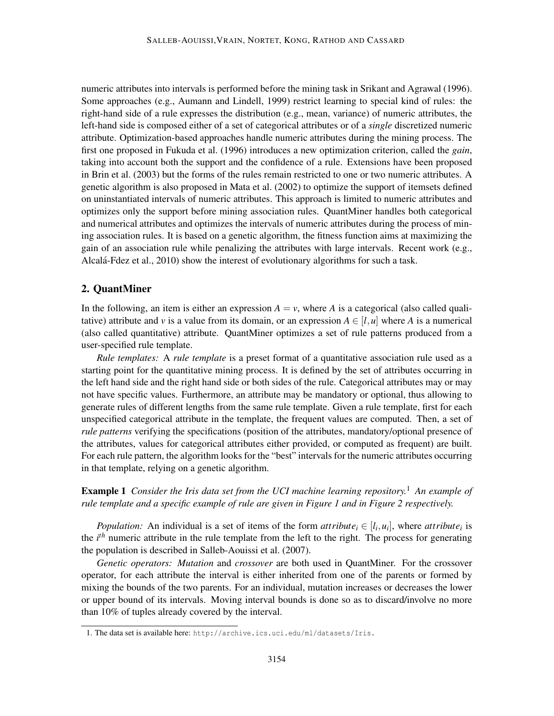numeric attributes into intervals is performed before the mining task in Srikant and Agrawal (1996). Some approaches (e.g., Aumann and Lindell, 1999) restrict learning to special kind of rules: the right-hand side of a rule expresses the distribution (e.g., mean, variance) of numeric attributes, the left-hand side is composed either of a set of categorical attributes or of a *single* discretized numeric attribute. Optimization-based approaches handle numeric attributes during the mining process. The first one proposed in Fukuda et al. (1996) introduces a new optimization criterion, called the *gain*, taking into account both the support and the confidence of a rule. Extensions have been proposed in Brin et al. (2003) but the forms of the rules remain restricted to one or two numeric attributes. A genetic algorithm is also proposed in Mata et al. (2002) to optimize the support of itemsets defined on uninstantiated intervals of numeric attributes. This approach is limited to numeric attributes and optimizes only the support before mining association rules. QuantMiner handles both categorical and numerical attributes and optimizes the intervals of numeric attributes during the process of mining association rules. It is based on a genetic algorithm, the fitness function aims at maximizing the gain of an association rule while penalizing the attributes with large intervals. Recent work (e.g., Alcalá-Fdez et al.,  $2010$ ) show the interest of evolutionary algorithms for such a task.

### 2. QuantMiner

In the following, an item is either an expression  $A = v$ , where A is a categorical (also called qualitative) attribute and *v* is a value from its domain, or an expression  $A \in [l, u]$  where *A* is a numerical (also called quantitative) attribute. QuantMiner optimizes a set of rule patterns produced from a user-specified rule template.

*Rule templates:* A *rule template* is a preset format of a quantitative association rule used as a starting point for the quantitative mining process. It is defined by the set of attributes occurring in the left hand side and the right hand side or both sides of the rule. Categorical attributes may or may not have specific values. Furthermore, an attribute may be mandatory or optional, thus allowing to generate rules of different lengths from the same rule template. Given a rule template, first for each unspecified categorical attribute in the template, the frequent values are computed. Then, a set of *rule patterns* verifying the specifications (position of the attributes, mandatory/optional presence of the attributes, values for categorical attributes either provided, or computed as frequent) are built. For each rule pattern, the algorithm looks for the "best" intervals for the numeric attributes occurring in that template, relying on a genetic algorithm.

Example 1 *Consider the Iris data set from the UCI machine learning repository.*<sup>1</sup> *An example of rule template and a specific example of rule are given in Figure 1 and in Figure 2 respectively.*

*Population:* An individual is a set of items of the form  $attribute_i \in [l_i, u_i]$ , where  $attribute_i$  is the *i th* numeric attribute in the rule template from the left to the right. The process for generating the population is described in Salleb-Aouissi et al. (2007).

*Genetic operators: Mutation* and *crossover* are both used in QuantMiner. For the crossover operator, for each attribute the interval is either inherited from one of the parents or formed by mixing the bounds of the two parents. For an individual, mutation increases or decreases the lower or upper bound of its intervals. Moving interval bounds is done so as to discard/involve no more than 10% of tuples already covered by the interval.

<sup>1.</sup> The data set is available here: http://archive.ics.uci.edu/ml/datasets/Iris.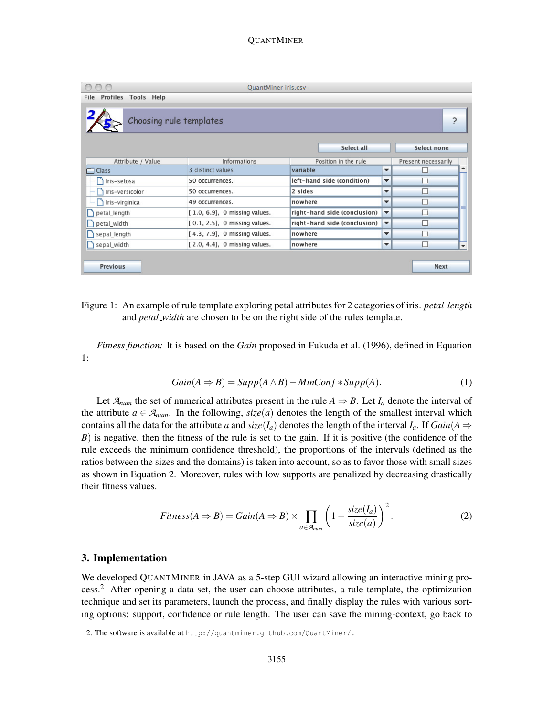### **QUANTMINER**

|                             | QuantMiner iris.csv              |                                                      |                          |                     |   |  |  |
|-----------------------------|----------------------------------|------------------------------------------------------|--------------------------|---------------------|---|--|--|
| Profiles Tools Help<br>File |                                  |                                                      |                          |                     |   |  |  |
| Choosing rule templates     |                                  |                                                      |                          |                     |   |  |  |
|                             |                                  | Select all                                           |                          | Select none         |   |  |  |
| Attribute / Value           | Informations                     | Position in the rule                                 |                          | Present necessarily |   |  |  |
| Class                       | 3 distinct values                | variable                                             | $\overline{\phantom{a}}$ |                     | ᆂ |  |  |
| Iris-setosa                 | 50 occurrences.                  | left-hand side (condition)                           | ▼                        |                     |   |  |  |
| Iris-versicolor             | 50 occurrences.                  | 2 sides                                              | ▼                        | $\sim$              |   |  |  |
| Iris-virginica              | 49 occurrences.                  | nowhere                                              | ▼                        | □                   |   |  |  |
| petal_length                | $[1.0, 6.9]$ , 0 missing values. | right-hand side (conclusion)                         | $\blacktriangledown$     | ×.                  |   |  |  |
| petal_width                 | $[0.1, 2.5]$ , 0 missing values. | right-hand side (conclusion)<br>$\blacktriangledown$ |                          | ٠                   |   |  |  |
| sepal_length                | [4.3, 7.9], 0 missing values.    | nowhere                                              | $\overline{\phantom{a}}$ | - 1                 |   |  |  |
| sepal_width                 | [2.0, 4.4], 0 missing values.    | nowhere<br>$\overline{\phantom{a}}$                  |                          | ₹                   | ٠ |  |  |
|                             |                                  |                                                      |                          |                     |   |  |  |
| <b>Previous</b>             |                                  |                                                      |                          | <b>Next</b>         |   |  |  |

Figure 1: An example of rule template exploring petal attributes for 2 categories of iris. *petal length* and *petal width* are chosen to be on the right side of the rules template.

*Fitness function:* It is based on the *Gain* proposed in Fukuda et al. (1996), defined in Equation 1:

$$
Gain(A \Rightarrow B) = Supp(A \land B) - MinConf * Supp(A).
$$
 (1)

Let  $A_{num}$  the set of numerical attributes present in the rule  $A \Rightarrow B$ . Let  $I_a$  denote the interval of the attribute  $a \in \mathcal{A}_{num}$ . In the following,  $size(a)$  denotes the length of the smallest interval which contains all the data for the attribute *a* and *size*( $I_a$ ) denotes the length of the interval  $I_a$ . If  $Gain(A \Rightarrow$ *B*) is negative, then the fitness of the rule is set to the gain. If it is positive (the confidence of the rule exceeds the minimum confidence threshold), the proportions of the intervals (defined as the ratios between the sizes and the domains) is taken into account, so as to favor those with small sizes as shown in Equation 2. Moreover, rules with low supports are penalized by decreasing drastically their fitness values.

$$
Fitness(A \Rightarrow B) = Gain(A \Rightarrow B) \times \prod_{a \in \mathcal{A}_{num}} \left(1 - \frac{size(I_a)}{size(a)}\right)^2.
$$
 (2)

### 3. Implementation

We developed QUANTMINER in JAVA as a 5-step GUI wizard allowing an interactive mining pro $cess<sup>2</sup>$  After opening a data set, the user can choose attributes, a rule template, the optimization technique and set its parameters, launch the process, and finally display the rules with various sorting options: support, confidence or rule length. The user can save the mining-context, go back to

<sup>2.</sup> The software is available at http://quantminer.github.com/QuantMiner/.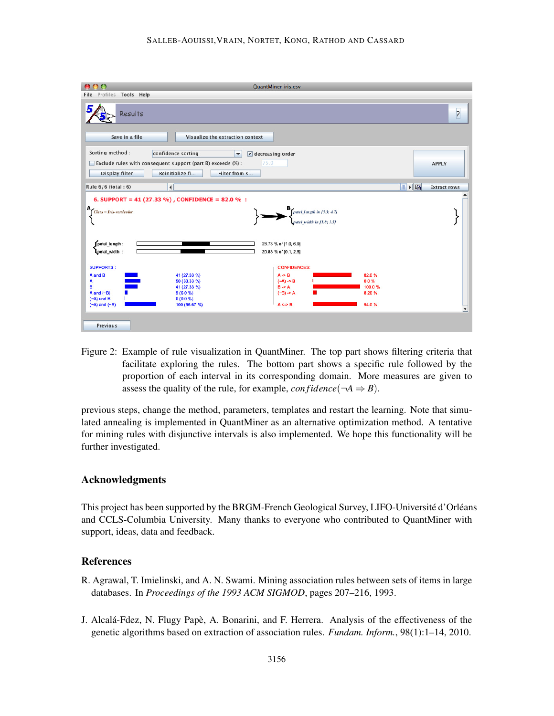|                                                                                              |                                                                                   | QuantMiner iris.csv                                                                                                                                               |                                                           |  |  |
|----------------------------------------------------------------------------------------------|-----------------------------------------------------------------------------------|-------------------------------------------------------------------------------------------------------------------------------------------------------------------|-----------------------------------------------------------|--|--|
| File Profiles Tools Help                                                                     |                                                                                   |                                                                                                                                                                   |                                                           |  |  |
| Results                                                                                      |                                                                                   |                                                                                                                                                                   | $\overline{\phantom{a}}$                                  |  |  |
| Save in a file                                                                               | Visualize the extraction context                                                  |                                                                                                                                                                   |                                                           |  |  |
| Sorting method:                                                                              | confidence sorting<br>▼                                                           | $\nu$ decreasing order                                                                                                                                            |                                                           |  |  |
| Exclude rules with consequent support (part B) exceeds (%) :                                 | <b>APPLY</b>                                                                      |                                                                                                                                                                   |                                                           |  |  |
| 75.0<br>Reinitialize fi<br>Filter from s<br><b>Display filter</b>                            |                                                                                   |                                                                                                                                                                   |                                                           |  |  |
|                                                                                              |                                                                                   |                                                                                                                                                                   |                                                           |  |  |
| Rule 6/6 (total: 6)                                                                          | $\blacktriangleleft$                                                              |                                                                                                                                                                   | $\blacktriangleright$ $\Box$<br>W.<br><b>Extract rows</b> |  |  |
| $A$ <sub>Class</sub> = Iris-versicolor                                                       | 6. SUPPORT = 41 (27.33 %), CONFIDENCE = 82.0 %:                                   | petal_length in [3.3; 4.7]<br>petal width in 11.0:1.51                                                                                                            |                                                           |  |  |
| petal_length:                                                                                |                                                                                   | 23.73 % of [1.0, 6.9]                                                                                                                                             |                                                           |  |  |
| Lpetal_width:                                                                                |                                                                                   | 20.83 % of [0.1, 2.5]                                                                                                                                             |                                                           |  |  |
| <b>SUPPORTS:</b><br>A and B<br>А<br>в<br>A and $(-B)$<br>$(-A)$ and $B$<br>$(-A)$ and $(-B)$ | 41 (27.33 %)<br>50 (33.33 %)<br>41 (27.33 %)<br>9(6.0%<br>0(0.0%<br>100 (66.67 %) | <b>CONFIDENCES:</b><br>$A \rightarrow B$<br>82.0%<br>$(-A)$ -> B<br>0.0%<br>$B \rightarrow A$<br>100.0%<br>$(-B)$ -> A<br>8.26%<br>$A \Leftrightarrow B$<br>94.0% | ⊋                                                         |  |  |
| <b>Previous</b>                                                                              |                                                                                   |                                                                                                                                                                   |                                                           |  |  |

Figure 2: Example of rule visualization in QuantMiner. The top part shows filtering criteria that facilitate exploring the rules. The bottom part shows a specific rule followed by the proportion of each interval in its corresponding domain. More measures are given to assess the quality of the rule, for example, *confidence*( $\neg A \Rightarrow B$ ).

previous steps, change the method, parameters, templates and restart the learning. Note that simulated annealing is implemented in QuantMiner as an alternative optimization method. A tentative for mining rules with disjunctive intervals is also implemented. We hope this functionality will be further investigated.

### Acknowledgments

This project has been supported by the BRGM-French Geological Survey, LIFO-Université d'Orléans and CCLS-Columbia University. Many thanks to everyone who contributed to QuantMiner with support, ideas, data and feedback.

# **References**

- R. Agrawal, T. Imielinski, and A. N. Swami. Mining association rules between sets of items in large databases. In *Proceedings of the 1993 ACM SIGMOD*, pages 207–216, 1993.
- J. Alcalá-Fdez, N. Flugy Papè, A. Bonarini, and F. Herrera. Analysis of the effectiveness of the genetic algorithms based on extraction of association rules. *Fundam. Inform.*, 98(1):1–14, 2010.